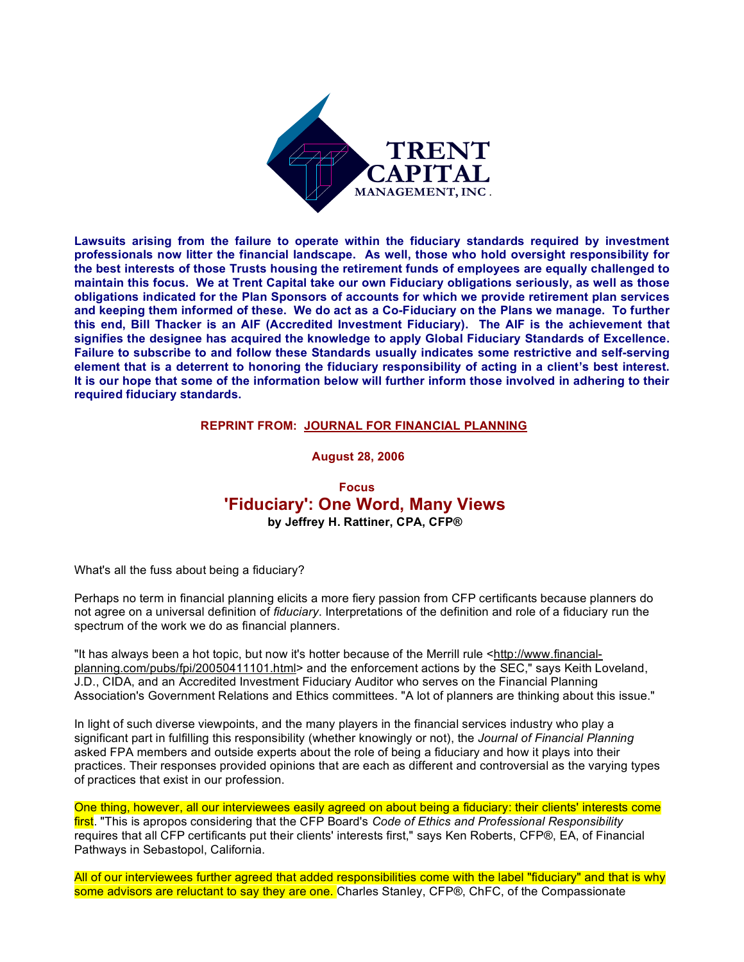

**Lawsuits arising from the failure to operate within the fiduciary standards required by investment professionals now litter the financial landscape. As well, those who hold oversight responsibility for the best interests of those Trusts housing the retirement funds of employees are equally challenged to maintain this focus. We at Trent Capital take our own Fiduciary obligations seriously, as well as those obligations indicated for the Plan Sponsors of accounts for which we provide retirement plan services and keeping them informed of these. We do act as a Co-Fiduciary on the Plans we manage. To further this end, Bill Thacker is an AIF (Accredited Investment Fiduciary). The AIF is the achievement that signifies the designee has acquired the knowledge to apply Global Fiduciary Standards of Excellence. Failure to subscribe to and follow these Standards usually indicates some restrictive and self-serving element that is a deterrent to honoring the fiduciary responsibility of acting in a client's best interest. It is our hope that some of the information below will further inform those involved in adhering to their required fiduciary standards.**

#### **REPRINT FROM: JOURNAL FOR FINANCIAL PLANNING**

 **August 28, 2006**

# **Focus 'Fiduciary': One Word, Many Views by Jeffrey H. Rattiner, CPA, CFP®**

What's all the fuss about being a fiduciary?

Perhaps no term in financial planning elicits a more fiery passion from CFP certificants because planners do not agree on a universal definition of *fiduciary*. Interpretations of the definition and role of a fiduciary run the spectrum of the work we do as financial planners.

"It has always been a hot topic, but now it's hotter because of the Merrill rule <http://www.financialplanning.com/pubs/fpi/20050411101.html> and the enforcement actions by the SEC," says Keith Loveland, J.D., CIDA, and an Accredited Investment Fiduciary Auditor who serves on the Financial Planning Association's Government Relations and Ethics committees. "A lot of planners are thinking about this issue."

In light of such diverse viewpoints, and the many players in the financial services industry who play a significant part in fulfilling this responsibility (whether knowingly or not), the *Journal of Financial Planning* asked FPA members and outside experts about the role of being a fiduciary and how it plays into their practices. Their responses provided opinions that are each as different and controversial as the varying types of practices that exist in our profession.

One thing, however, all our interviewees easily agreed on about being a fiduciary: their clients' interests come first. "This is apropos considering that the CFP Board's *Code of Ethics and Professional Responsibility* requires that all CFP certificants put their clients' interests first," says Ken Roberts, CFP®, EA, of Financial Pathways in Sebastopol, California.

All of our interviewees further agreed that added responsibilities come with the label "fiduciary" and that is why some advisors are reluctant to say they are one. Charles Stanley, CFP®, ChFC, of the Compassionate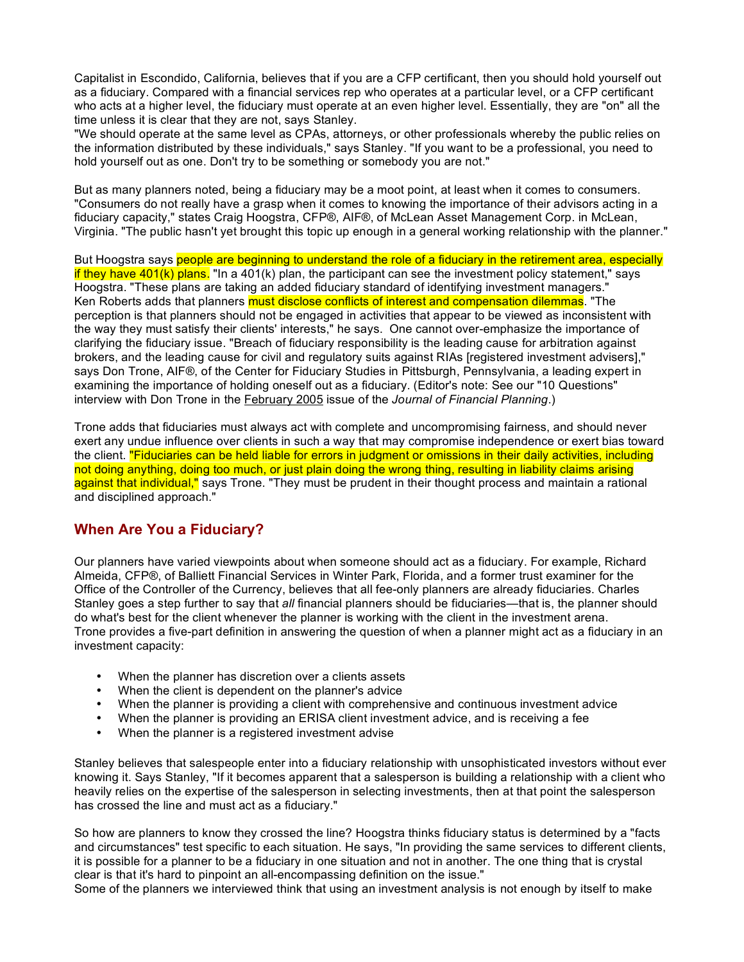Capitalist in Escondido, California, believes that if you are a CFP certificant, then you should hold yourself out as a fiduciary. Compared with a financial services rep who operates at a particular level, or a CFP certificant who acts at a higher level, the fiduciary must operate at an even higher level. Essentially, they are "on" all the time unless it is clear that they are not, says Stanley.

"We should operate at the same level as CPAs, attorneys, or other professionals whereby the public relies on the information distributed by these individuals," says Stanley. "If you want to be a professional, you need to hold yourself out as one. Don't try to be something or somebody you are not."

But as many planners noted, being a fiduciary may be a moot point, at least when it comes to consumers. "Consumers do not really have a grasp when it comes to knowing the importance of their advisors acting in a fiduciary capacity," states Craig Hoogstra, CFP®, AIF®, of McLean Asset Management Corp. in McLean, Virginia. "The public hasn't yet brought this topic up enough in a general working relationship with the planner."

But Hoogstra says people are beginning to understand the role of a fiduciary in the retirement area, especially if they have 401(k) plans. "In a 401(k) plan, the participant can see the investment policy statement," says Hoogstra. "These plans are taking an added fiduciary standard of identifying investment managers." Ken Roberts adds that planners must disclose conflicts of interest and compensation dilemmas. "The perception is that planners should not be engaged in activities that appear to be viewed as inconsistent with the way they must satisfy their clients' interests," he says. One cannot over-emphasize the importance of clarifying the fiduciary issue. "Breach of fiduciary responsibility is the leading cause for arbitration against brokers, and the leading cause for civil and regulatory suits against RIAs [registered investment advisers]," says Don Trone, AIF®, of the Center for Fiduciary Studies in Pittsburgh, Pennsylvania, a leading expert in examining the importance of holding oneself out as a fiduciary. (Editor's note: See our "10 Questions" interview with Don Trone in the February 2005 issue of the *Journal of Financial Planning*.)

Trone adds that fiduciaries must always act with complete and uncompromising fairness, and should never exert any undue influence over clients in such a way that may compromise independence or exert bias toward the client. "Fiduciaries can be held liable for errors in judgment or omissions in their daily activities, including not doing anything, doing too much, or just plain doing the wrong thing, resulting in liability claims arising against that individual," says Trone. "They must be prudent in their thought process and maintain a rational and disciplined approach."

### **When Are You a Fiduciary?**

Our planners have varied viewpoints about when someone should act as a fiduciary. For example, Richard Almeida, CFP®, of Balliett Financial Services in Winter Park, Florida, and a former trust examiner for the Office of the Controller of the Currency, believes that all fee-only planners are already fiduciaries. Charles Stanley goes a step further to say that *all* financial planners should be fiduciaries—that is, the planner should do what's best for the client whenever the planner is working with the client in the investment arena. Trone provides a five-part definition in answering the question of when a planner might act as a fiduciary in an investment capacity:

- When the planner has discretion over a clients assets
- When the client is dependent on the planner's advice
- When the planner is providing a client with comprehensive and continuous investment advice
- When the planner is providing an ERISA client investment advice, and is receiving a fee
- When the planner is a registered investment advise

Stanley believes that salespeople enter into a fiduciary relationship with unsophisticated investors without ever knowing it. Says Stanley, "If it becomes apparent that a salesperson is building a relationship with a client who heavily relies on the expertise of the salesperson in selecting investments, then at that point the salesperson has crossed the line and must act as a fiduciary."

So how are planners to know they crossed the line? Hoogstra thinks fiduciary status is determined by a "facts and circumstances" test specific to each situation. He says, "In providing the same services to different clients, it is possible for a planner to be a fiduciary in one situation and not in another. The one thing that is crystal clear is that it's hard to pinpoint an all-encompassing definition on the issue."

Some of the planners we interviewed think that using an investment analysis is not enough by itself to make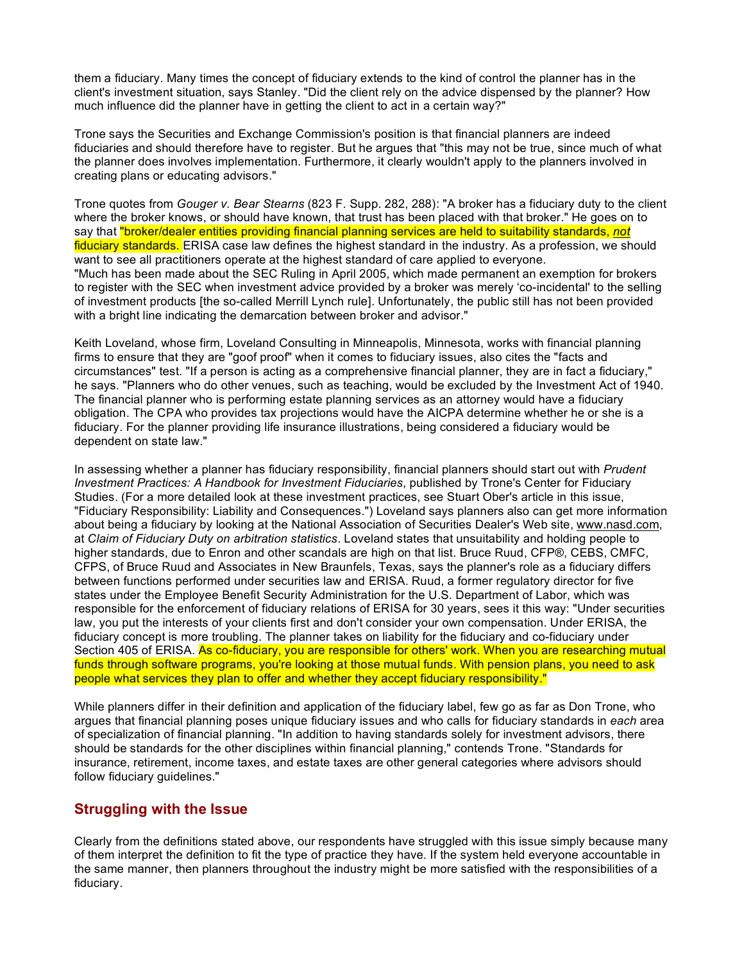them a fiduciary. Many times the concept of fiduciary extends to the kind of control the planner has in the client's investment situation, says Stanley. "Did the client rely on the advice dispensed by the planner? How much influence did the planner have in getting the client to act in a certain way?"

Trone says the Securities and Exchange Commission's position is that financial planners are indeed fiduciaries and should therefore have to register. But he argues that "this may not be true, since much of what the planner does involves implementation. Furthermore, it clearly wouldn't apply to the planners involved in creating plans or educating advisors."

Trone quotes from *Gouger v. Bear Stearns* (823 F. Supp. 282, 288): "A broker has a fiduciary duty to the client where the broker knows, or should have known, that trust has been placed with that broker." He goes on to say that "broker/dealer entities providing financial planning services are held to suitability standards, *not* fiduciary standards. ERISA case law defines the highest standard in the industry. As a profession, we should want to see all practitioners operate at the highest standard of care applied to everyone. "Much has been made about the SEC Ruling in April 2005, which made permanent an exemption for brokers to register with the SEC when investment advice provided by a broker was merely 'co-incidental' to the selling of investment products [the so-called Merrill Lynch rule]. Unfortunately, the public still has not been provided with a bright line indicating the demarcation between broker and advisor."

Keith Loveland, whose firm, Loveland Consulting in Minneapolis, Minnesota, works with financial planning firms to ensure that they are "goof proof" when it comes to fiduciary issues, also cites the "facts and circumstances" test. "If a person is acting as a comprehensive financial planner, they are in fact a fiduciary," he says. "Planners who do other venues, such as teaching, would be excluded by the Investment Act of 1940. The financial planner who is performing estate planning services as an attorney would have a fiduciary obligation. The CPA who provides tax projections would have the AICPA determine whether he or she is a fiduciary. For the planner providing life insurance illustrations, being considered a fiduciary would be dependent on state law."

In assessing whether a planner has fiduciary responsibility, financial planners should start out with *Prudent Investment Practices: A Handbook for Investment Fiduciaries*, published by Trone's Center for Fiduciary Studies. (For a more detailed look at these investment practices, see Stuart Ober's article in this issue, "Fiduciary Responsibility: Liability and Consequences.") Loveland says planners also can get more information about being a fiduciary by looking at the National Association of Securities Dealer's Web site, www.nasd.com, at *Claim of Fiduciary Duty on arbitration statistics*. Loveland states that unsuitability and holding people to higher standards, due to Enron and other scandals are high on that list. Bruce Ruud, CFP®, CEBS, CMFC, CFPS, of Bruce Ruud and Associates in New Braunfels, Texas, says the planner's role as a fiduciary differs between functions performed under securities law and ERISA. Ruud, a former regulatory director for five states under the Employee Benefit Security Administration for the U.S. Department of Labor, which was responsible for the enforcement of fiduciary relations of ERISA for 30 years, sees it this way: "Under securities law, you put the interests of your clients first and don't consider your own compensation. Under ERISA, the fiduciary concept is more troubling. The planner takes on liability for the fiduciary and co-fiduciary under Section 405 of ERISA. As co-fiduciary, you are responsible for others' work. When you are researching mutual funds through software programs, you're looking at those mutual funds. With pension plans, you need to ask people what services they plan to offer and whether they accept fiduciary responsibility."

While planners differ in their definition and application of the fiduciary label, few go as far as Don Trone, who argues that financial planning poses unique fiduciary issues and who calls for fiduciary standards in *each* area of specialization of financial planning. "In addition to having standards solely for investment advisors, there should be standards for the other disciplines within financial planning," contends Trone. "Standards for insurance, retirement, income taxes, and estate taxes are other general categories where advisors should follow fiduciary guidelines."

### **Struggling with the Issue**

Clearly from the definitions stated above, our respondents have struggled with this issue simply because many of them interpret the definition to fit the type of practice they have. If the system held everyone accountable in the same manner, then planners throughout the industry might be more satisfied with the responsibilities of a fiduciary.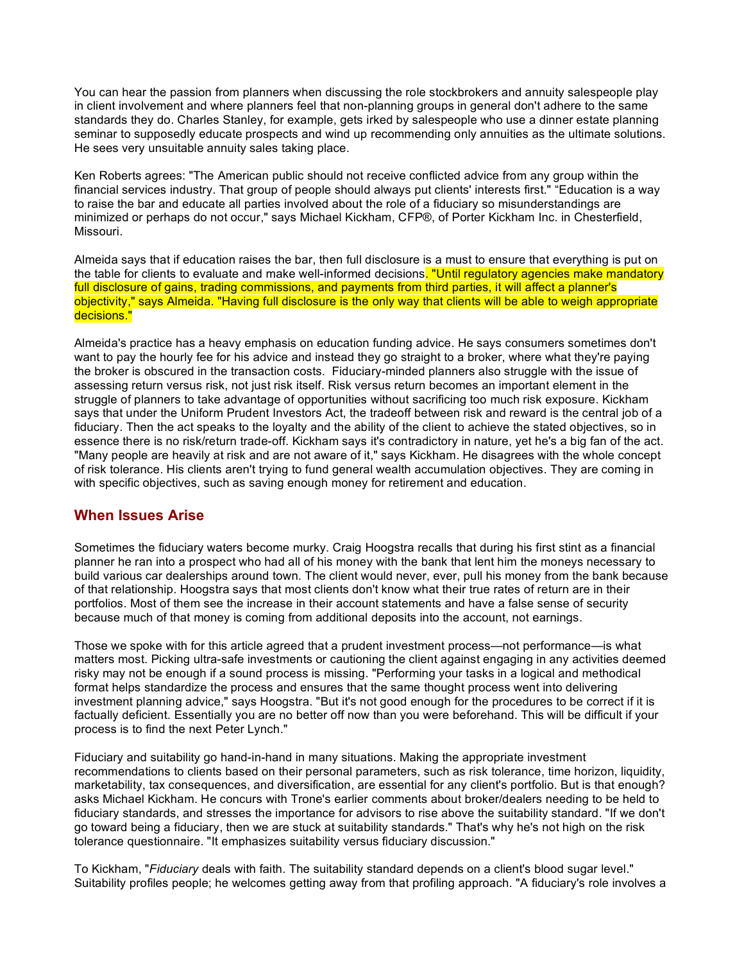You can hear the passion from planners when discussing the role stockbrokers and annuity salespeople play in client involvement and where planners feel that non-planning groups in general don't adhere to the same standards they do. Charles Stanley, for example, gets irked by salespeople who use a dinner estate planning seminar to supposedly educate prospects and wind up recommending only annuities as the ultimate solutions. He sees very unsuitable annuity sales taking place.

Ken Roberts agrees: "The American public should not receive conflicted advice from any group within the financial services industry. That group of people should always put clients' interests first." "Education is a way to raise the bar and educate all parties involved about the role of a fiduciary so misunderstandings are minimized or perhaps do not occur," says Michael Kickham, CFP®, of Porter Kickham Inc. in Chesterfield, Missouri.

Almeida says that if education raises the bar, then full disclosure is a must to ensure that everything is put on the table for clients to evaluate and make well-informed decisions. "Until regulatory agencies make mandatory full disclosure of gains, trading commissions, and payments from third parties, it will affect a planner's objectivity," says Almeida. "Having full disclosure is the only way that clients will be able to weigh appropriate decisions."

Almeida's practice has a heavy emphasis on education funding advice. He says consumers sometimes don't want to pay the hourly fee for his advice and instead they go straight to a broker, where what they're paying the broker is obscured in the transaction costs. Fiduciary-minded planners also struggle with the issue of assessing return versus risk, not just risk itself. Risk versus return becomes an important element in the struggle of planners to take advantage of opportunities without sacrificing too much risk exposure. Kickham says that under the Uniform Prudent Investors Act, the tradeoff between risk and reward is the central job of a fiduciary. Then the act speaks to the loyalty and the ability of the client to achieve the stated objectives, so in essence there is no risk/return trade-off. Kickham says it's contradictory in nature, yet he's a big fan of the act. "Many people are heavily at risk and are not aware of it," says Kickham. He disagrees with the whole concept of risk tolerance. His clients aren't trying to fund general wealth accumulation objectives. They are coming in with specific objectives, such as saving enough money for retirement and education.

# **When Issues Arise**

Sometimes the fiduciary waters become murky. Craig Hoogstra recalls that during his first stint as a financial planner he ran into a prospect who had all of his money with the bank that lent him the moneys necessary to build various car dealerships around town. The client would never, ever, pull his money from the bank because of that relationship. Hoogstra says that most clients don't know what their true rates of return are in their portfolios. Most of them see the increase in their account statements and have a false sense of security because much of that money is coming from additional deposits into the account, not earnings.

Those we spoke with for this article agreed that a prudent investment process—not performance—is what matters most. Picking ultra-safe investments or cautioning the client against engaging in any activities deemed risky may not be enough if a sound process is missing. "Performing your tasks in a logical and methodical format helps standardize the process and ensures that the same thought process went into delivering investment planning advice," says Hoogstra. "But it's not good enough for the procedures to be correct if it is factually deficient. Essentially you are no better off now than you were beforehand. This will be difficult if your process is to find the next Peter Lynch."

Fiduciary and suitability go hand-in-hand in many situations. Making the appropriate investment recommendations to clients based on their personal parameters, such as risk tolerance, time horizon, liquidity, marketability, tax consequences, and diversification, are essential for any client's portfolio. But is that enough? asks Michael Kickham. He concurs with Trone's earlier comments about broker/dealers needing to be held to fiduciary standards, and stresses the importance for advisors to rise above the suitability standard. "If we don't go toward being a fiduciary, then we are stuck at suitability standards." That's why he's not high on the risk tolerance questionnaire. "It emphasizes suitability versus fiduciary discussion."

To Kickham, "*Fiduciary* deals with faith. The suitability standard depends on a client's blood sugar level." Suitability profiles people; he welcomes getting away from that profiling approach. "A fiduciary's role involves a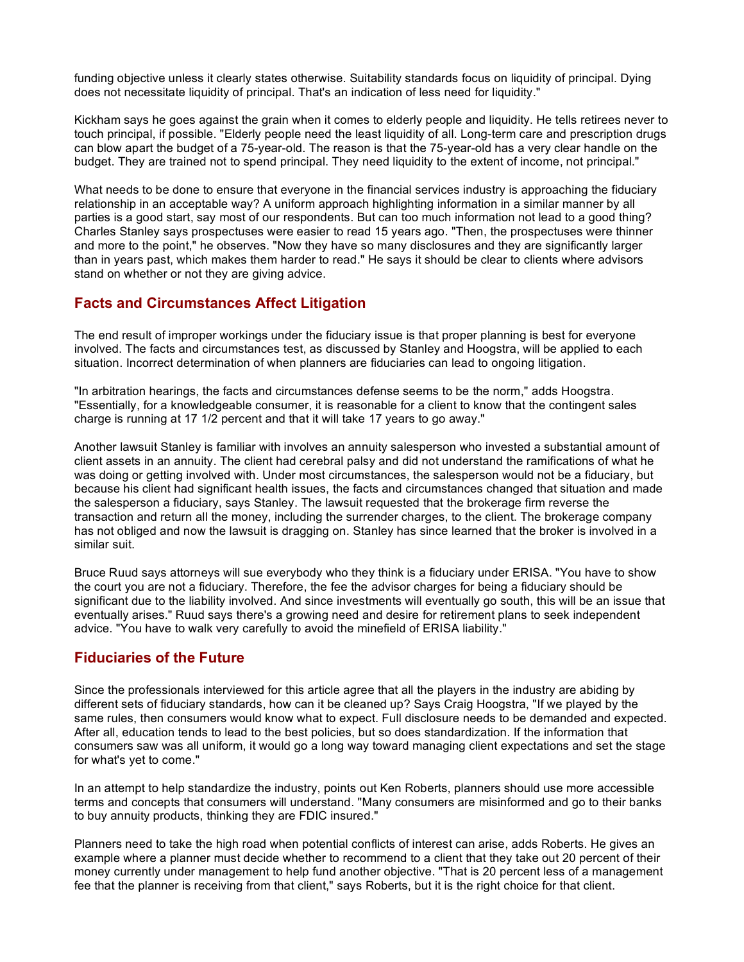funding objective unless it clearly states otherwise. Suitability standards focus on liquidity of principal. Dying does not necessitate liquidity of principal. That's an indication of less need for liquidity."

Kickham says he goes against the grain when it comes to elderly people and liquidity. He tells retirees never to touch principal, if possible. "Elderly people need the least liquidity of all. Long-term care and prescription drugs can blow apart the budget of a 75-year-old. The reason is that the 75-year-old has a very clear handle on the budget. They are trained not to spend principal. They need liquidity to the extent of income, not principal."

What needs to be done to ensure that everyone in the financial services industry is approaching the fiduciary relationship in an acceptable way? A uniform approach highlighting information in a similar manner by all parties is a good start, say most of our respondents. But can too much information not lead to a good thing? Charles Stanley says prospectuses were easier to read 15 years ago. "Then, the prospectuses were thinner and more to the point," he observes. "Now they have so many disclosures and they are significantly larger than in years past, which makes them harder to read." He says it should be clear to clients where advisors stand on whether or not they are giving advice.

## **Facts and Circumstances Affect Litigation**

The end result of improper workings under the fiduciary issue is that proper planning is best for everyone involved. The facts and circumstances test, as discussed by Stanley and Hoogstra, will be applied to each situation. Incorrect determination of when planners are fiduciaries can lead to ongoing litigation.

"In arbitration hearings, the facts and circumstances defense seems to be the norm," adds Hoogstra. "Essentially, for a knowledgeable consumer, it is reasonable for a client to know that the contingent sales charge is running at 17 1/2 percent and that it will take 17 years to go away."

Another lawsuit Stanley is familiar with involves an annuity salesperson who invested a substantial amount of client assets in an annuity. The client had cerebral palsy and did not understand the ramifications of what he was doing or getting involved with. Under most circumstances, the salesperson would not be a fiduciary, but because his client had significant health issues, the facts and circumstances changed that situation and made the salesperson a fiduciary, says Stanley. The lawsuit requested that the brokerage firm reverse the transaction and return all the money, including the surrender charges, to the client. The brokerage company has not obliged and now the lawsuit is dragging on. Stanley has since learned that the broker is involved in a similar suit.

Bruce Ruud says attorneys will sue everybody who they think is a fiduciary under ERISA. "You have to show the court you are not a fiduciary. Therefore, the fee the advisor charges for being a fiduciary should be significant due to the liability involved. And since investments will eventually go south, this will be an issue that eventually arises." Ruud says there's a growing need and desire for retirement plans to seek independent advice. "You have to walk very carefully to avoid the minefield of ERISA liability."

# **Fiduciaries of the Future**

Since the professionals interviewed for this article agree that all the players in the industry are abiding by different sets of fiduciary standards, how can it be cleaned up? Says Craig Hoogstra, "If we played by the same rules, then consumers would know what to expect. Full disclosure needs to be demanded and expected. After all, education tends to lead to the best policies, but so does standardization. If the information that consumers saw was all uniform, it would go a long way toward managing client expectations and set the stage for what's yet to come."

In an attempt to help standardize the industry, points out Ken Roberts, planners should use more accessible terms and concepts that consumers will understand. "Many consumers are misinformed and go to their banks to buy annuity products, thinking they are FDIC insured."

Planners need to take the high road when potential conflicts of interest can arise, adds Roberts. He gives an example where a planner must decide whether to recommend to a client that they take out 20 percent of their money currently under management to help fund another objective. "That is 20 percent less of a management fee that the planner is receiving from that client," says Roberts, but it is the right choice for that client.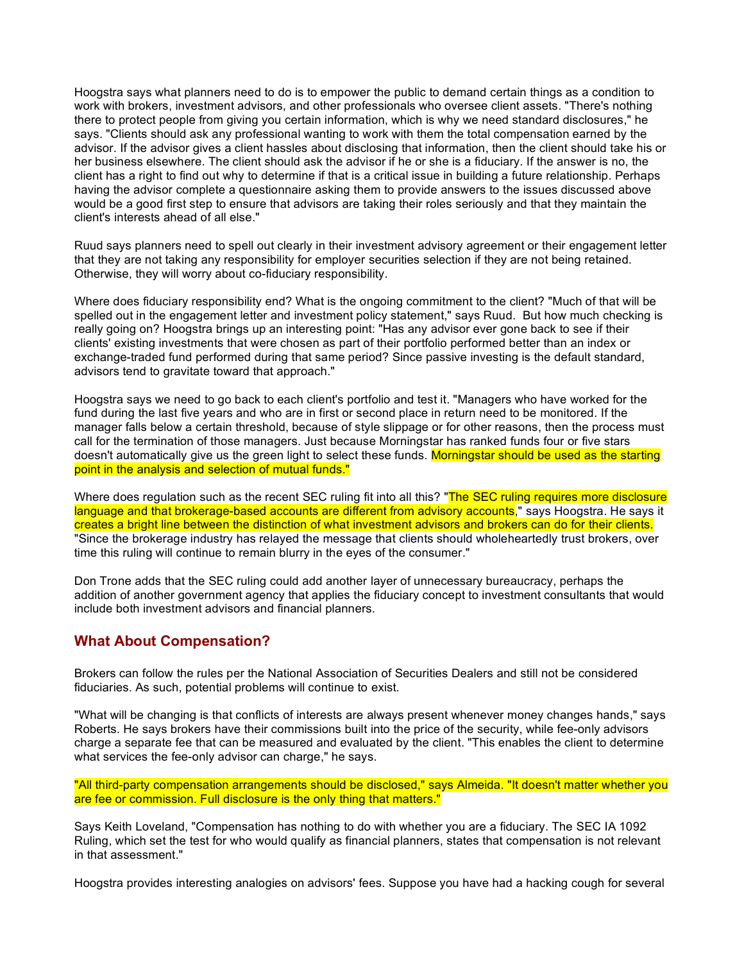Hoogstra says what planners need to do is to empower the public to demand certain things as a condition to work with brokers, investment advisors, and other professionals who oversee client assets. "There's nothing there to protect people from giving you certain information, which is why we need standard disclosures," he says. "Clients should ask any professional wanting to work with them the total compensation earned by the advisor. If the advisor gives a client hassles about disclosing that information, then the client should take his or her business elsewhere. The client should ask the advisor if he or she is a fiduciary. If the answer is no, the client has a right to find out why to determine if that is a critical issue in building a future relationship. Perhaps having the advisor complete a questionnaire asking them to provide answers to the issues discussed above would be a good first step to ensure that advisors are taking their roles seriously and that they maintain the client's interests ahead of all else."

Ruud says planners need to spell out clearly in their investment advisory agreement or their engagement letter that they are not taking any responsibility for employer securities selection if they are not being retained. Otherwise, they will worry about co-fiduciary responsibility.

Where does fiduciary responsibility end? What is the ongoing commitment to the client? "Much of that will be spelled out in the engagement letter and investment policy statement," says Ruud. But how much checking is really going on? Hoogstra brings up an interesting point: "Has any advisor ever gone back to see if their clients' existing investments that were chosen as part of their portfolio performed better than an index or exchange-traded fund performed during that same period? Since passive investing is the default standard, advisors tend to gravitate toward that approach."

Hoogstra says we need to go back to each client's portfolio and test it. "Managers who have worked for the fund during the last five years and who are in first or second place in return need to be monitored. If the manager falls below a certain threshold, because of style slippage or for other reasons, then the process must call for the termination of those managers. Just because Morningstar has ranked funds four or five stars doesn't automatically give us the green light to select these funds. Morningstar should be used as the starting point in the analysis and selection of mutual funds."

Where does regulation such as the recent SEC ruling fit into all this? "The SEC ruling requires more disclosure language and that brokerage-based accounts are different from advisory accounts," says Hoogstra. He says it creates a bright line between the distinction of what investment advisors and brokers can do for their clients. "Since the brokerage industry has relayed the message that clients should wholeheartedly trust brokers, over time this ruling will continue to remain blurry in the eyes of the consumer."

Don Trone adds that the SEC ruling could add another layer of unnecessary bureaucracy, perhaps the addition of another government agency that applies the fiduciary concept to investment consultants that would include both investment advisors and financial planners.

### **What About Compensation?**

Brokers can follow the rules per the National Association of Securities Dealers and still not be considered fiduciaries. As such, potential problems will continue to exist.

"What will be changing is that conflicts of interests are always present whenever money changes hands," says Roberts. He says brokers have their commissions built into the price of the security, while fee-only advisors charge a separate fee that can be measured and evaluated by the client. "This enables the client to determine what services the fee-only advisor can charge," he says.

"All third-party compensation arrangements should be disclosed," says Almeida. "It doesn't matter whether you are fee or commission. Full disclosure is the only thing that matters."

Says Keith Loveland, "Compensation has nothing to do with whether you are a fiduciary. The SEC IA 1092 Ruling, which set the test for who would qualify as financial planners, states that compensation is not relevant in that assessment."

Hoogstra provides interesting analogies on advisors' fees. Suppose you have had a hacking cough for several